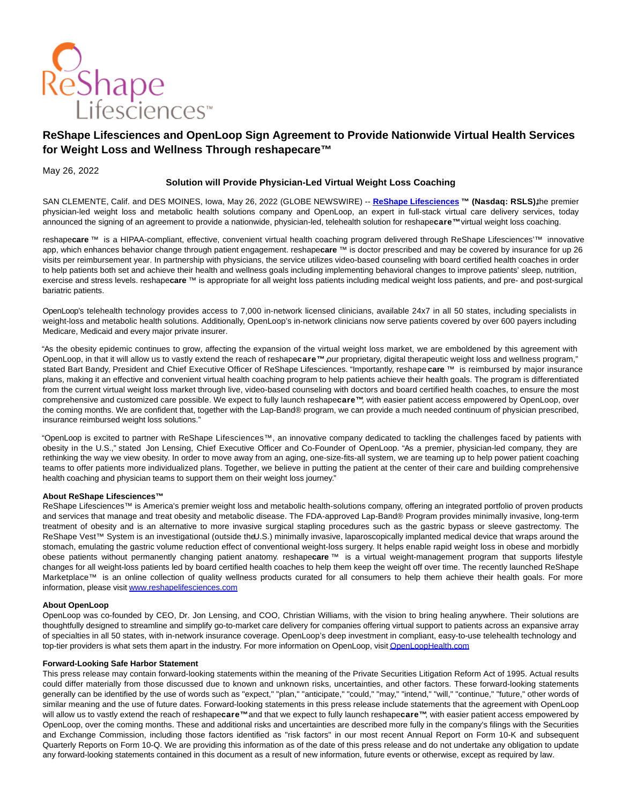

# **ReShape Lifesciences and OpenLoop Sign Agreement to Provide Nationwide Virtual Health Services for Weight Loss and Wellness Through reshapecare™**

May 26, 2022

## **Solution will Provide Physician-Led Virtual Weight Loss Coaching**

SAN CLEMENTE, Calif. and DES MOINES, Iowa, May 26, 2022 (GLOBE NEWSWIRE) -- **[ReShape Lifesciences](https://www.globenewswire.com/Tracker?data=xdstDig2cUICzanSg2F9a7gOqh8G4pNZlMkhdr6idbgu2yHDi4zPcFN57lwjN7kN2FENg_btqM6aHFsdPmOgzHpP_qTK7bCzrbf3uYh4zcI=) ™ (Nasdaq: RSLS),** the premier physician-led weight loss and metabolic health solutions company and OpenLoop, an expert in full-stack virtual care delivery services, today announced the signing of an agreement to provide a nationwide, physician-led, telehealth solution for reshape**care™** virtual weight loss coaching.

reshape**care** ™ is a HIPAA-compliant, effective, convenient virtual health coaching program delivered through ReShape Lifesciences'™ innovative app, which enhances behavior change through patient engagement. reshape**care** ™ is doctor prescribed and may be covered by insurance for up 26 visits per reimbursement year. In partnership with physicians, the service utilizes video-based counseling with board certified health coaches in order to help patients both set and achieve their health and wellness goals including implementing behavioral changes to improve patients' sleep, nutrition, exercise and stress levels. reshape**care** ™ is appropriate for all weight loss patients including medical weight loss patients, and pre- and post-surgical bariatric patients.

OpenLoop's telehealth technology provides access to 7,000 in-network licensed clinicians, available 24x7 in all 50 states, including specialists in weight-loss and metabolic health solutions. Additionally, OpenLoop's in-network clinicians now serve patients covered by over 600 payers including Medicare, Medicaid and every major private insurer.

"As the obesity epidemic continues to grow, affecting the expansion of the virtual weight loss market, we are emboldened by this agreement with OpenLoop, in that it will allow us to vastly extend the reach of reshape**care™,** our proprietary, digital therapeutic weight loss and wellness program," stated Bart Bandy, President and Chief Executive Officer of ReShape Lifesciences. "Importantly, reshape **care** ™ is reimbursed by major insurance plans, making it an effective and convenient virtual health coaching program to help patients achieve their health goals. The program is differentiated from the current virtual weight loss market through live, video-based counseling with doctors and board certified health coaches, to ensure the most comprehensive and customized care possible. We expect to fully launch reshape**care™**, with easier patient access empowered by OpenLoop, over the coming months. We are confident that, together with the Lap-Band® program, we can provide a much needed continuum of physician prescribed, insurance reimbursed weight loss solutions."

"OpenLoop is excited to partner with ReShape Lifesciences™, an innovative company dedicated to tackling the challenges faced by patients with obesity in the U.S.," stated Jon Lensing, Chief Executive Officer and Co-Founder of OpenLoop. "As a premier, physician-led company, they are rethinking the way we view obesity. In order to move away from an aging, one-size-fits-all system, we are teaming up to help power patient coaching teams to offer patients more individualized plans. Together, we believe in putting the patient at the center of their care and building comprehensive health coaching and physician teams to support them on their weight loss journey."

## **About ReShape Lifesciences™**

ReShape Lifesciences™ is America's premier weight loss and metabolic health-solutions company, offering an integrated portfolio of proven products and services that manage and treat obesity and metabolic disease. The FDA-approved Lap-Band® Program provides minimally invasive, long-term treatment of obesity and is an alternative to more invasive surgical stapling procedures such as the gastric bypass or sleeve gastrectomy. The ReShape Vest™ System is an investigational (outside the U.S.) minimally invasive, laparoscopically implanted medical device that wraps around the stomach, emulating the gastric volume reduction effect of conventional weight-loss surgery. It helps enable rapid weight loss in obese and morbidly obese patients without permanently changing patient anatomy. reshape**care** ™ is a virtual weight-management program that supports lifestyle changes for all weight-loss patients led by board certified health coaches to help them keep the weight off over time. The recently launched ReShape Marketplace™ is an online collection of quality wellness products curated for all consumers to help them achieve their health goals. For more information, please visi[t www.reshapelifesciences.com](http://www.reshapelifesciences.com/)

### **About OpenLoop**

OpenLoop was co-founded by CEO, Dr. Jon Lensing, and COO, Christian Williams, with the vision to bring healing anywhere. Their solutions are thoughtfully designed to streamline and simplify go-to-market care delivery for companies offering virtual support to patients across an expansive array of specialties in all 50 states, with in-network insurance coverage. OpenLoop's deep investment in compliant, easy-to-use telehealth technology and top-tier providers is what sets them apart in the industry. For more information on OpenLoop, visi[t OpenLoopHealth.com](http://openloophealth.com/)

### **Forward-Looking Safe Harbor Statement**

This press release may contain forward-looking statements within the meaning of the Private Securities Litigation Reform Act of 1995. Actual results could differ materially from those discussed due to known and unknown risks, uncertainties, and other factors. These forward-looking statements generally can be identified by the use of words such as "expect," "plan," "anticipate," "could," "may," "intend," "will," "continue," "future," other words of similar meaning and the use of future dates. Forward-looking statements in this press release include statements that the agreement with OpenLoop will allow us to vastly extend the reach of reshape**care™** and that we expect to fully launch reshape**care™**, with easier patient access empowered by OpenLoop, over the coming months. These and additional risks and uncertainties are described more fully in the company's filings with the Securities and Exchange Commission, including those factors identified as "risk factors" in our most recent Annual Report on Form 10-K and subsequent Quarterly Reports on Form 10-Q. We are providing this information as of the date of this press release and do not undertake any obligation to update any forward-looking statements contained in this document as a result of new information, future events or otherwise, except as required by law.